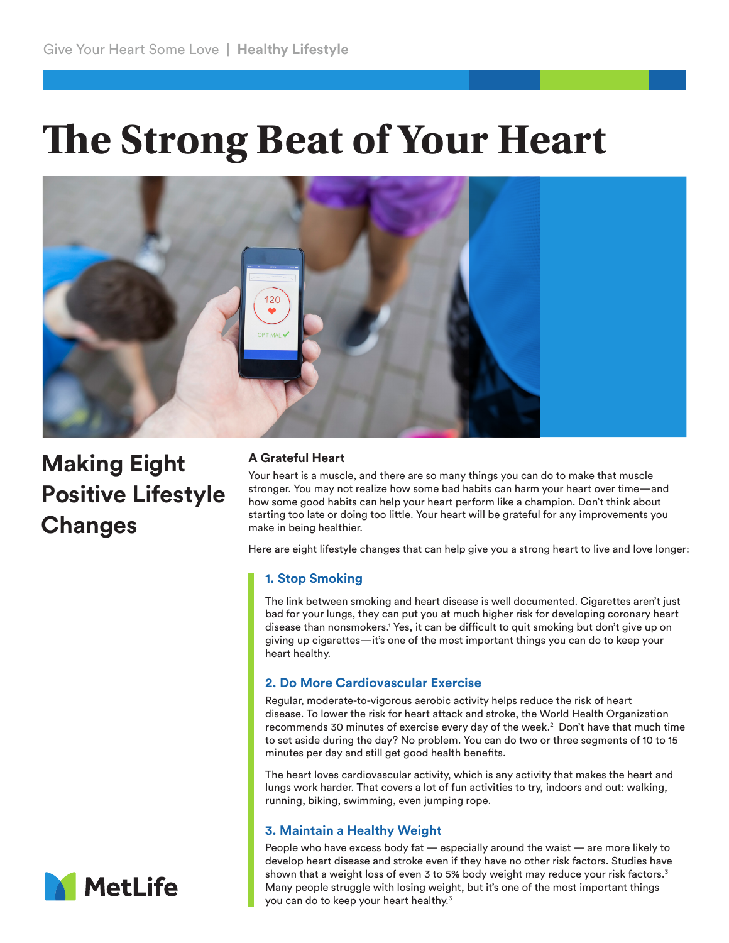# **The Strong Beat of Your Heart**



**Making Eight Positive Lifestyle Changes**

# **A Grateful Heart**

Your heart is a muscle, and there are so many things you can do to make that muscle stronger. You may not realize how some bad habits can harm your heart over time—and how some good habits can help your heart perform like a champion. Don't think about starting too late or doing too little. Your heart will be grateful for any improvements you make in being healthier.

Here are eight lifestyle changes that can help give you a strong heart to live and love longer:

# **1. Stop Smoking**

The link between smoking and heart disease is well documented. Cigarettes aren't just bad for your lungs, they can put you at much higher risk for developing coronary heart disease than nonsmokers.1 Yes, it can be difficult to quit smoking but don't give up on giving up cigarettes—it's one of the most important things you can do to keep your heart healthy.

## **2. Do More Cardiovascular Exercise**

Regular, moderate-to-vigorous aerobic activity helps reduce the risk of heart disease. To lower the risk for heart attack and stroke, the World Health Organization recommends 30 minutes of exercise every day of the week.<sup>2</sup> Don't have that much time to set aside during the day? No problem. You can do two or three segments of 10 to 15 minutes per day and still get good health benefits.

The heart loves cardiovascular activity, which is any activity that makes the heart and lungs work harder. That covers a lot of fun activities to try, indoors and out: walking, running, biking, swimming, even jumping rope.

# **3. Maintain a Healthy Weight**

People who have excess body fat — especially around the waist — are more likely to develop heart disease and stroke even if they have no other risk factors. Studies have shown that a weight loss of even 3 to 5% body weight may reduce your risk factors.<sup>3</sup> Many people struggle with losing weight, but it's one of the most important things you can do to keep your heart healthy.3